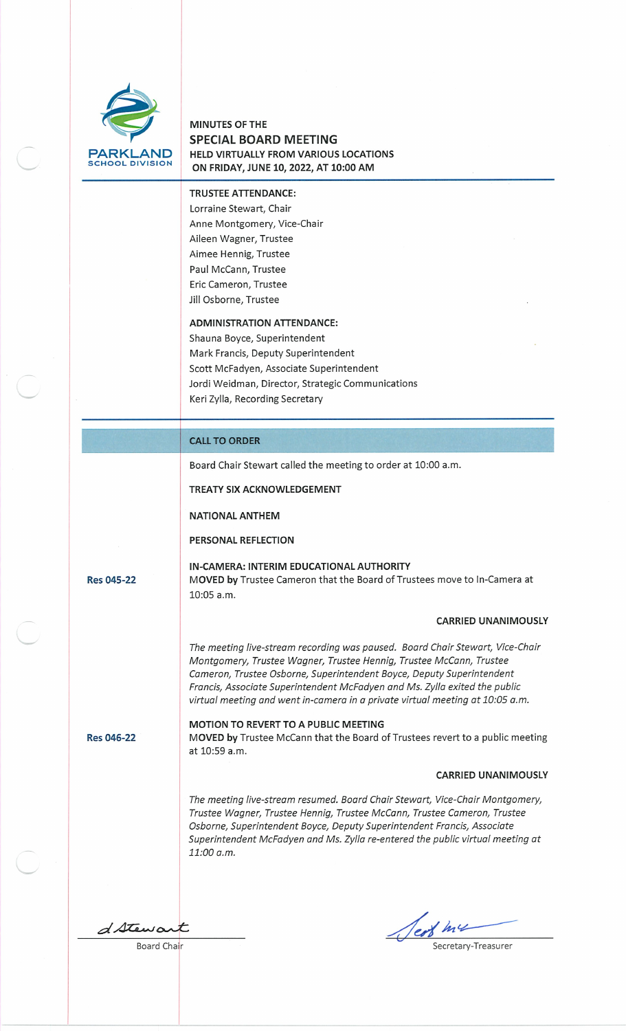

# MINUTES OF THE SPECIAL BOARD MEETING HELD VIRTUALLY FROM VARIOUS LOCATIONS ON FRIDAY, JUNE 10, 2022, AT 10:00 AM

## TRUSTEE ATTENDANCE:

Lorraine Stewart, Chair Anne Montgomery, Vice-Chair Aileen Wagner, Trustee Aimee Hennig, Trustee Paul McCann, Trustee Eric Cameron, Trustee Jill Osborne, Trustee

#### ADMINISTRATION ATTENDANCE:

Shauna Boyce, Superintendent Mark Francis, Deputy Superintendent Scott McFadyen, Associate Superintendent Jordi Weidman, Director, Strategic Communications Keri Zylla, Recording Secretary

# CALL TO ORDER

Board Chair Stewart called the meeting to order at 10:00 a.m.

TREATY SIX ACKNOWLEDGEMENT

NATIONAL ANTHEM

PERSONAL REFLECTION

IN-CAMERA: INTERIM EDUCATIONAL AUTHORITY Res 045-22 MOVED by Trustee Cameron that the Board of Trustees move to In-Camera at 10:05 a.m.

## CARRIED UNANIMOUSLY

The meeting live-stream recording was paused. Board Chair Stewart, Vice-Chair Montgomery, Trustee Wagner, Trustee Hennig, Trustee McCann, Trustee Cameron, Trustee Osborne, Superintendent Boyce, Deputy Superintendent Francis, Associate Superintendent McFadyen and Ms. Zylla exited the public virtual meeting and went in-camera in a private virtual meeting at 10:05 a.m.

MOTION TO REVERT TO A PUBLIC MEETING Res 046-22 MOVED by Trustee McCann that the Board of Trustees revert to a public meeting at 10:59 a.m.

## CARRIED UNANIMOUSLY

The meeting live-stream resumed. Board Chair Stewart, Vice-Chair Montgomery, Trustee Wagner, Trustee Hennig, Trustee McCann, Trustee Cameron, Trustee Osborne, Superintendent Boyce, Deputy Superintendent Francis, Associate Superintendent McFadyen and Ms. Zylla re-entered the public virtual meeting at 11:00 a.m.

 $d$  Stewart

Jest me Secretary-Treasurer

Board Chair